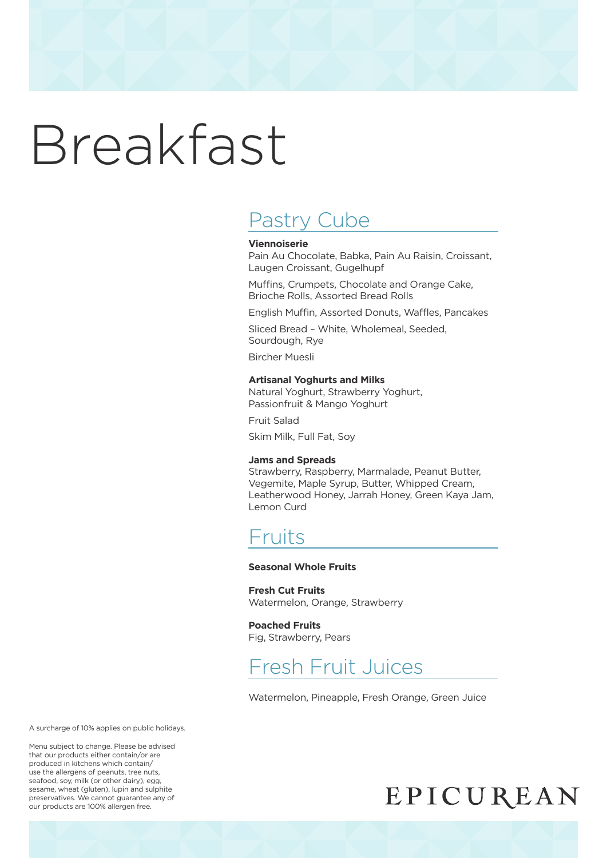#### Pastry Cube

#### **Viennoiserie**

Pain Au Chocolate, Babka, Pain Au Raisin, Croissant, Laugen Croissant, Gugelhupf

Muffins, Crumpets, Chocolate and Orange Cake, Brioche Rolls, Assorted Bread Rolls

English Muffin, Assorted Donuts, Waffles, Pancakes

Sliced Bread – White, Wholemeal, Seeded, Sourdough, Rye

Bircher Muesli

#### **Artisanal Yoghurts and Milks**

Natural Yoghurt, Strawberry Yoghurt, Passionfruit & Mango Yoghurt

Fruit Salad

Skim Milk, Full Fat, Soy

#### **Jams and Spreads**

Strawberry, Raspberry, Marmalade, Peanut Butter, Vegemite, Maple Syrup, Butter, Whipped Cream, Leatherwood Honey, Jarrah Honey, Green Kaya Jam, Lemon Curd

#### Fruits

#### **Seasonal Whole Fruits**

**Fresh Cut Fruits** Watermelon, Orange, Strawberry

**Poached Fruits** Fig, Strawberry, Pears

#### Fresh Fruit Juices

Watermelon, Pineapple, Fresh Orange, Green Juice

A surcharge of 10% applies on public holidays.

Menu subject to change. Please be advised that our products either contain/or are produced in kitchens which contain/ use the allergens of peanuts, tree nuts, seafood, soy, milk (or other dairy), egg, sesame, wheat (gluten), lupin and sulphite preservatives. We cannot guarantee any of our products are 100% allergen free.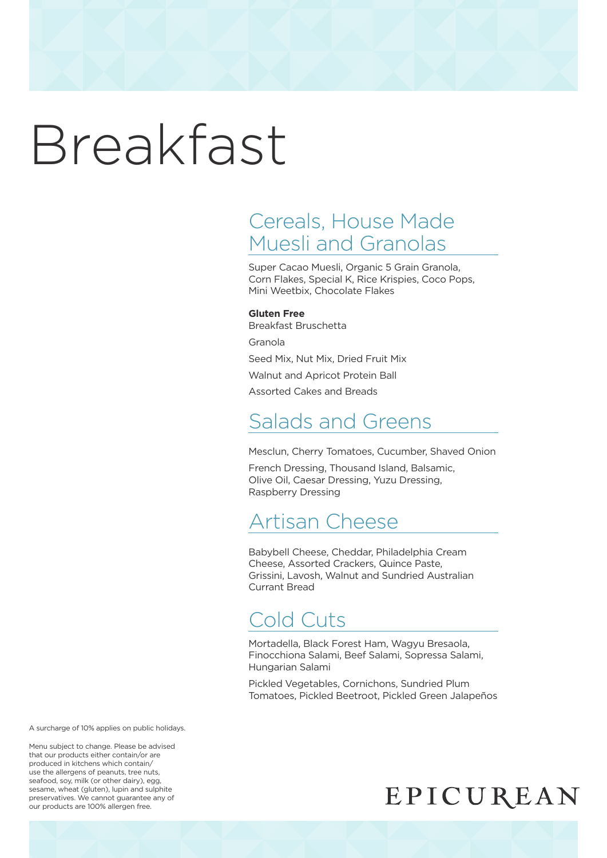## Cereals, House Made Muesli and Granolas

Super Cacao Muesli, Organic 5 Grain Granola, Corn Flakes, Special K, Rice Krispies, Coco Pops, Mini Weetbix, Chocolate Flakes

#### **Gluten Free**

Breakfast Bruschetta Granola Seed Mix, Nut Mix, Dried Fruit Mix Walnut and Apricot Protein Ball Assorted Cakes and Breads

### Salads and Greens

Mesclun, Cherry Tomatoes, Cucumber, Shaved Onion French Dressing, Thousand Island, Balsamic, Olive Oil, Caesar Dressing, Yuzu Dressing, Raspberry Dressing

### Artisan Cheese

Babybell Cheese, Cheddar, Philadelphia Cream Cheese, Assorted Crackers, Quince Paste, Grissini, Lavosh, Walnut and Sundried Australian Currant Bread

## Cold Cuts

Mortadella, Black Forest Ham, Wagyu Bresaola, Finocchiona Salami, Beef Salami, Sopressa Salami, Hungarian Salami

Pickled Vegetables, Cornichons, Sundried Plum Tomatoes, Pickled Beetroot, Pickled Green Jalapeños

A surcharge of 10% applies on public holidays.

Menu subject to change. Please be advised that our products either contain/or are produced in kitchens which contain/ use the allergens of peanuts, tree nuts, seafood, soy, milk (or other dairy), egg, sesame, wheat (gluten), lupin and sulphite preservatives. We cannot guarantee any of our products are 100% allergen free.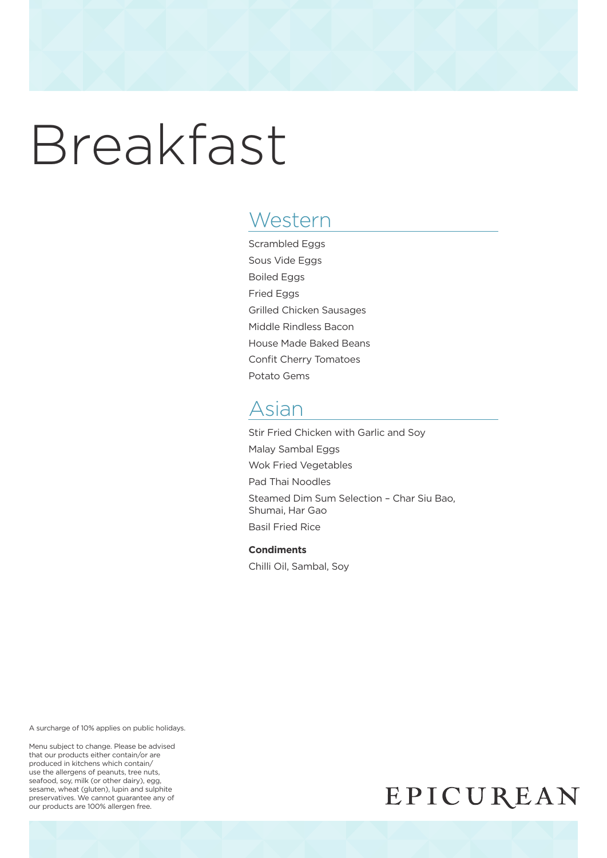#### **Western**

Scrambled Eggs Sous Vide Eggs Boiled Eggs Fried Eggs Grilled Chicken Sausages Middle Rindless Bacon House Made Baked Beans Confit Cherry Tomatoes Potato Gems

#### Asian

Stir Fried Chicken with Garlic and Soy Malay Sambal Eggs Wok Fried Vegetables Pad Thai Noodles Steamed Dim Sum Selection – Char Siu Bao, Shumai, Har Gao Basil Fried Rice

**Condiments** Chilli Oil, Sambal, Soy

A surcharge of 10% applies on public holidays.

Menu subject to change. Please be advised that our products either contain/or are produced in kitchens which contain/ use the allergens of peanuts, tree nuts, seafood, soy, milk (or other dairy), egg, sesame, wheat (gluten), lupin and sulphite preservatives. We cannot guarantee any of our products are 100% allergen free.